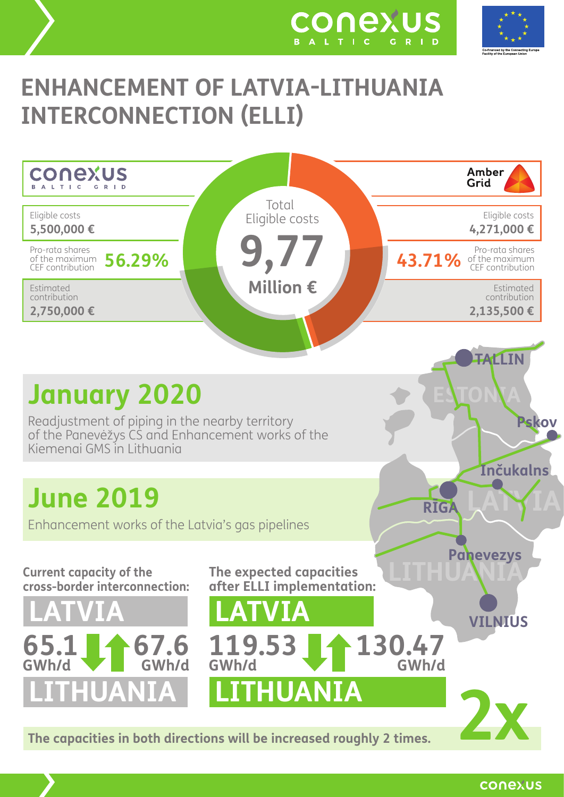



# **ENHANCEMENT OF LATVIA-LITHUANIA INTERCONNECTION (ELLI)**



conexus